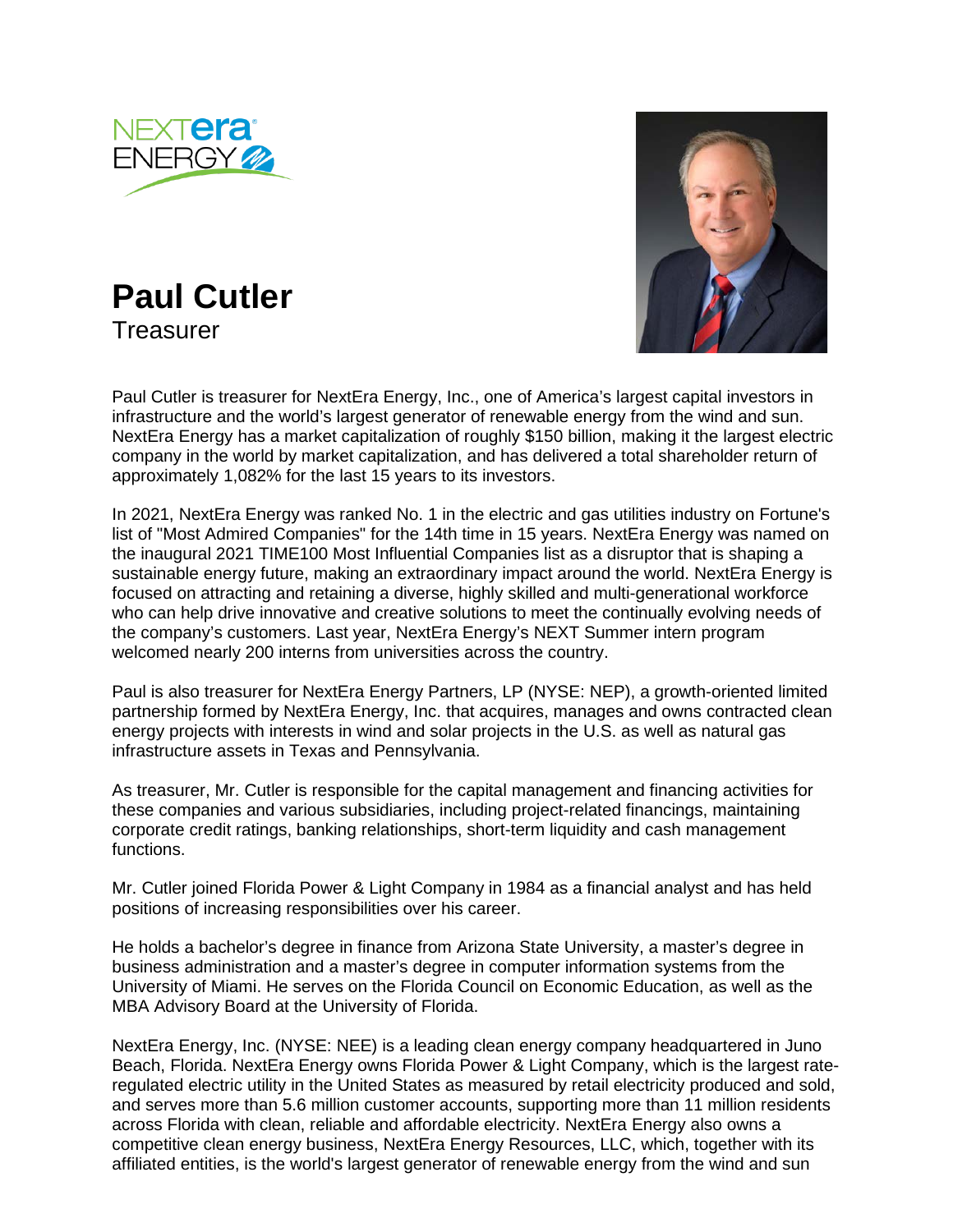





Paul Cutler is treasurer for NextEra Energy, Inc., one of America's largest capital investors in infrastructure and the world's largest generator of renewable energy from the wind and sun. NextEra Energy has a market capitalization of roughly \$150 billion, making it the largest electric company in the world by market capitalization, and has delivered a total shareholder return of approximately 1,082% for the last 15 years to its investors.

In 2021, NextEra Energy was ranked No. 1 in the electric and gas utilities industry on Fortune's list of "Most Admired Companies" for the 14th time in 15 years. NextEra Energy was named on the inaugural 2021 TIME100 Most Influential Companies list as a disruptor that is shaping a sustainable energy future, making an extraordinary impact around the world. NextEra Energy is focused on attracting and retaining a diverse, highly skilled and multi-generational workforce who can help drive innovative and creative solutions to meet the continually evolving needs of the company's customers. Last year, NextEra Energy's NEXT Summer intern program welcomed nearly 200 interns from universities across the country.

Paul is also treasurer for NextEra Energy Partners, LP (NYSE: NEP), a growth-oriented limited partnership formed by NextEra Energy, Inc. that acquires, manages and owns contracted clean energy projects with interests in wind and solar projects in the U.S. as well as natural gas infrastructure assets in Texas and Pennsylvania.

As treasurer, Mr. Cutler is responsible for the capital management and financing activities for these companies and various subsidiaries, including project-related financings, maintaining corporate credit ratings, banking relationships, short-term liquidity and cash management functions.

Mr. Cutler joined Florida Power & Light Company in 1984 as a financial analyst and has held positions of increasing responsibilities over his career.

He holds a bachelor's degree in finance from Arizona State University, a master's degree in business administration and a master's degree in computer information systems from the University of Miami. He serves on the Florida Council on Economic Education, as well as the MBA Advisory Board at the University of Florida.

NextEra Energy, Inc. (NYSE: NEE) is a leading clean energy company headquartered in Juno Beach, Florida. NextEra Energy owns Florida Power & Light Company, which is the largest rateregulated electric utility in the United States as measured by retail electricity produced and sold, and serves more than 5.6 million customer accounts, supporting more than 11 million residents across Florida with clean, reliable and affordable electricity. NextEra Energy also owns a competitive clean energy business, NextEra Energy Resources, LLC, which, together with its affiliated entities, is the world's largest generator of renewable energy from the wind and sun